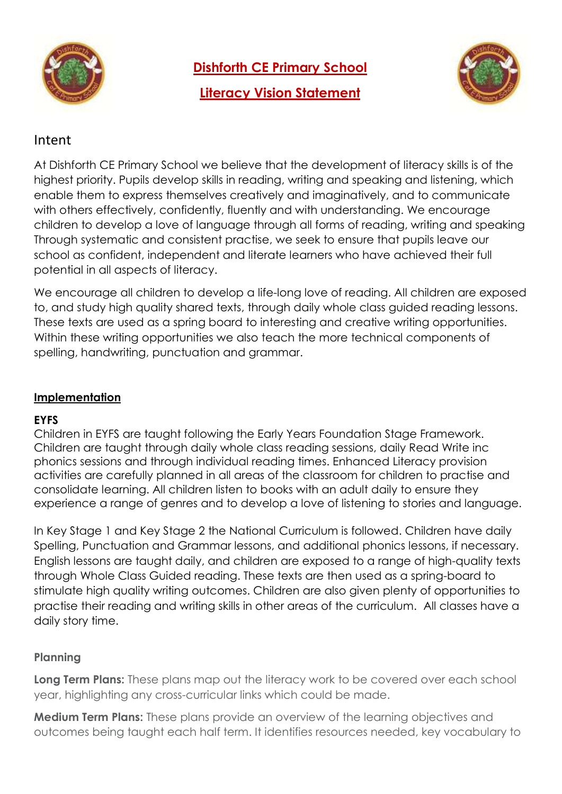

**Dishforth CE Primary School**

**Literacy Vision Statement**



## Intent

At Dishforth CE Primary School we believe that the development of literacy skills is of the highest priority. Pupils develop skills in reading, writing and speaking and listening, which enable them to express themselves creatively and imaginatively, and to communicate with others effectively, confidently, fluently and with understanding. We encourage children to develop a love of language through all forms of reading, writing and speaking Through systematic and consistent practise, we seek to ensure that pupils leave our school as confident, independent and literate learners who have achieved their full potential in all aspects of literacy.

We encourage all children to develop a life-long love of reading. All children are exposed to, and study high quality shared texts, through daily whole class guided reading lessons. These texts are used as a spring board to interesting and creative writing opportunities. Within these writing opportunities we also teach the more technical components of spelling, handwriting, punctuation and grammar.

#### **Implementation**

#### **EYFS**

Children in EYFS are taught following the Early Years Foundation Stage Framework. Children are taught through daily whole class reading sessions, daily Read Write inc phonics sessions and through individual reading times. Enhanced Literacy provision activities are carefully planned in all areas of the classroom for children to practise and consolidate learning. All children listen to books with an adult daily to ensure they experience a range of genres and to develop a love of listening to stories and language.

In Key Stage 1 and Key Stage 2 the National Curriculum is followed. Children have daily Spelling, Punctuation and Grammar lessons, and additional phonics lessons, if necessary. English lessons are taught daily, and children are exposed to a range of high-quality texts through Whole Class Guided reading. These texts are then used as a spring-board to stimulate high quality writing outcomes. Children are also given plenty of opportunities to practise their reading and writing skills in other areas of the curriculum. All classes have a daily story time.

#### **Planning**

**Long Term Plans:** These plans map out the literacy work to be covered over each school year, highlighting any cross-curricular links which could be made.

**Medium Term Plans:** These plans provide an overview of the learning objectives and outcomes being taught each half term. It identifies resources needed, key vocabulary to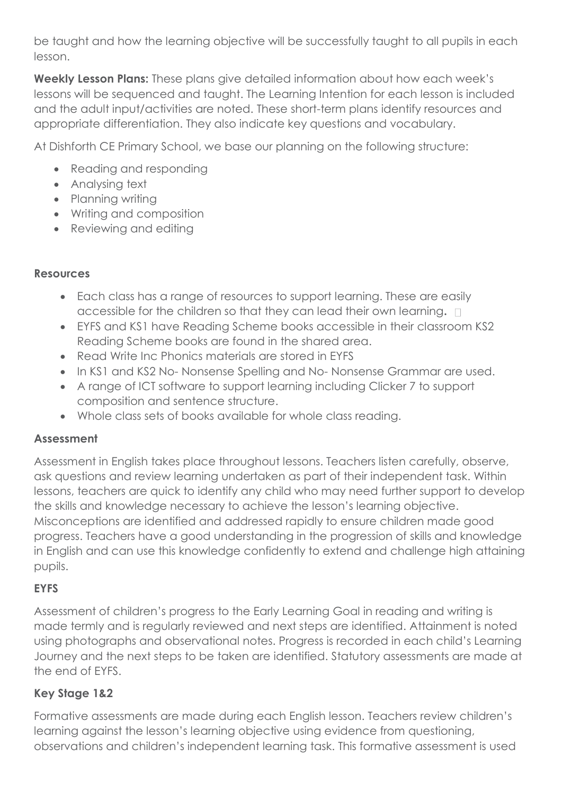be taught and how the learning objective will be successfully taught to all pupils in each lesson.

**Weekly Lesson Plans:** These plans give detailed information about how each week's lessons will be sequenced and taught. The Learning Intention for each lesson is included and the adult input/activities are noted. These short-term plans identify resources and appropriate differentiation. They also indicate key questions and vocabulary.

At Dishforth CE Primary School, we base our planning on the following structure:

- Reading and responding
- Analysing text
- Planning writing
- Writing and composition
- Reviewing and editing

### **Resources**

- Each class has a range of resources to support learning. These are easily accessible for the children so that they can lead their own learning**.**
- EYFS and KS1 have Reading Scheme books accessible in their classroom KS2 Reading Scheme books are found in the shared area.
- Read Write Inc Phonics materials are stored in EYFS
- In KS1 and KS2 No- Nonsense Spelling and No- Nonsense Grammar are used.
- A range of ICT software to support learning including Clicker 7 to support composition and sentence structure.
- Whole class sets of books available for whole class reading.

## **Assessment**

Assessment in English takes place throughout lessons. Teachers listen carefully, observe, ask questions and review learning undertaken as part of their independent task. Within lessons, teachers are quick to identify any child who may need further support to develop the skills and knowledge necessary to achieve the lesson's learning objective. Misconceptions are identified and addressed rapidly to ensure children made good progress. Teachers have a good understanding in the progression of skills and knowledge in English and can use this knowledge confidently to extend and challenge high attaining pupils.

# **EYFS**

Assessment of children's progress to the Early Learning Goal in reading and writing is made termly and is regularly reviewed and next steps are identified. Attainment is noted using photographs and observational notes. Progress is recorded in each child's Learning Journey and the next steps to be taken are identified. Statutory assessments are made at the end of EYFS.

# **Key Stage 1&2**

Formative assessments are made during each English lesson. Teachers review children's learning against the lesson's learning objective using evidence from questioning, observations and children's independent learning task. This formative assessment is used